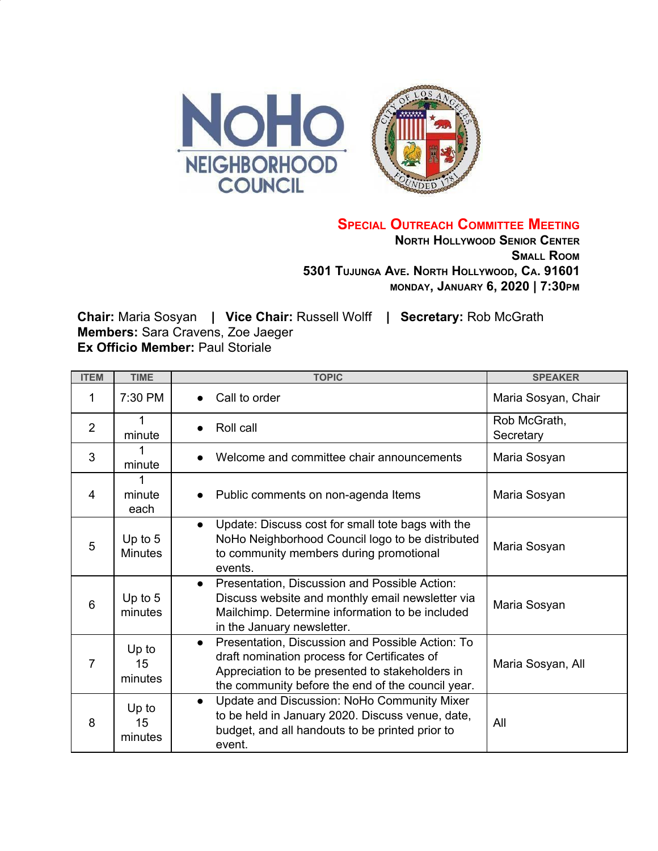

**SPECIAL OUTREACH COMMITTEE MEETING**

**NORTH HOLLYWOOD SENIOR CENTER SMALL ROOM 5301 TUJUNGA AVE. NORTH HOLLYWOOD, CA. 91601 MONDAY, JANUARY 6, 2020 | 7:30PM**

**Chair:** Maria Sosyan **| Vice Chair:** Russell Wolff **| Secretary:** Rob McGrath **Members:** Sara Cravens, Zoe Jaeger **Ex Officio Member: Paul Storiale** 

| <b>ITEM</b>    | <b>TIME</b>                 | <b>TOPIC</b>                                                                                                                                                                                                          | <b>SPEAKER</b>            |
|----------------|-----------------------------|-----------------------------------------------------------------------------------------------------------------------------------------------------------------------------------------------------------------------|---------------------------|
| 1              | 7:30 PM                     | Call to order                                                                                                                                                                                                         | Maria Sosyan, Chair       |
| $\overline{2}$ | minute                      | Roll call                                                                                                                                                                                                             | Rob McGrath,<br>Secretary |
| 3              | minute                      | Welcome and committee chair announcements<br>$\bullet$                                                                                                                                                                | Maria Sosyan              |
| $\overline{4}$ | minute<br>each              | Public comments on non-agenda Items<br>$\bullet$                                                                                                                                                                      | Maria Sosyan              |
| 5              | Up to $5$<br><b>Minutes</b> | Update: Discuss cost for small tote bags with the<br>$\bullet$<br>NoHo Neighborhood Council logo to be distributed<br>to community members during promotional<br>events.                                              | Maria Sosyan              |
| 6              | Up to $5$<br>minutes        | Presentation, Discussion and Possible Action:<br>$\bullet$<br>Discuss website and monthly email newsletter via<br>Mailchimp. Determine information to be included<br>in the January newsletter.                       | Maria Sosyan              |
| 7              | Up to<br>15<br>minutes      | Presentation, Discussion and Possible Action: To<br>$\bullet$<br>draft nomination process for Certificates of<br>Appreciation to be presented to stakeholders in<br>the community before the end of the council year. | Maria Sosyan, All         |
| 8              | Up to<br>15<br>minutes      | Update and Discussion: NoHo Community Mixer<br>$\bullet$<br>to be held in January 2020. Discuss venue, date,<br>budget, and all handouts to be printed prior to<br>event.                                             | All                       |